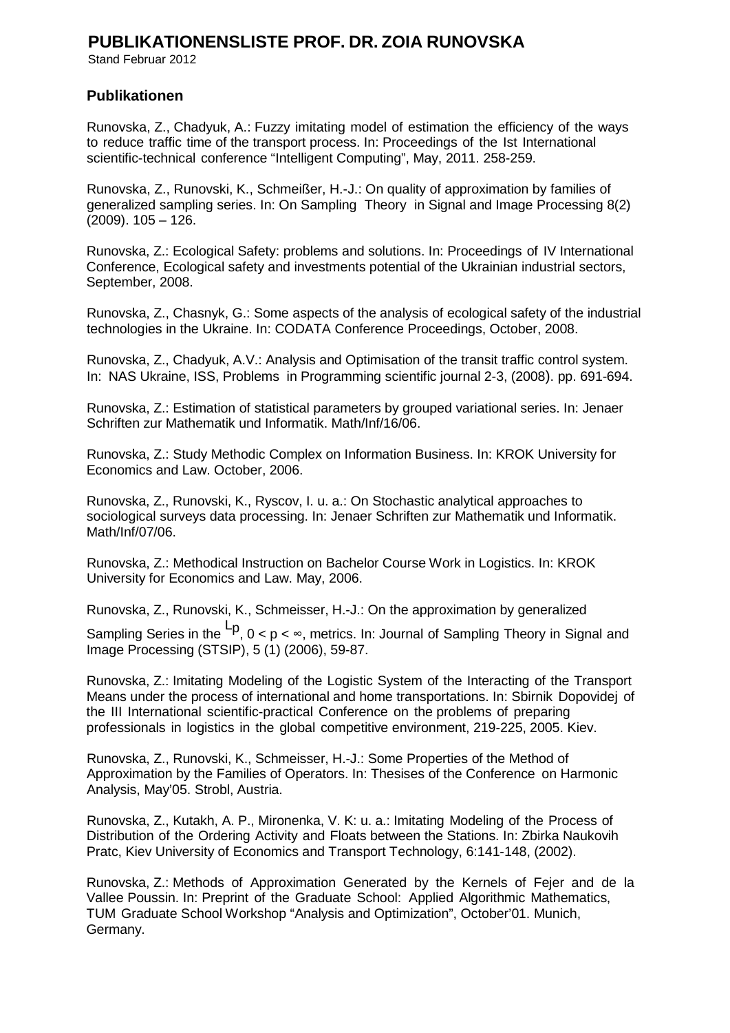## **PUBLIKATIONENSLISTE PROF. DR. ZOIA RUNOVSKA**

Stand Februar 2012

## **Publikationen**

Runovska, Z., Chadyuk, A.: Fuzzy imitating model of estimation the efficiency of the ways to reduce traffic time of the transport process. In: Proceedings of the Ist International scientific-technical conference "Intelligent Computing", May, 2011. 258-259.

Runovska, Z., Runovski, K., Schmeißer, H.-J.: On quality of approximation by families of generalized sampling series. In: On Sampling Theory in Signal and Image Processing 8(2) (2009). 105 – 126.

Runovska, Z.: Ecological Safety: problems and solutions. In: Proceedings of IV International Conference, Ecological safety and investments potential of the Ukrainian industrial sectors, September, 2008.

Runovska, Z., Chasnyk, G.: Some aspects of the analysis of ecological safety of the industrial technologies in the Ukraine. In: CODATA Conference Proceedings, October, 2008.

Runovska, Z., Chadyuk, A.V.: Analysis and Optimisation of the transit traffic control system. In: NAS Ukraine, ISS, Problems in Programming scientific journal 2-3, (2008). pp. 691-694.

Runovska, Z.: Estimation of statistical parameters by grouped variational series. In: Jenaer Schriften zur Mathematik und Informatik. Math/Inf/16/06.

Runovska, Z.: Study Methodic Complex on Information Business. In: KROK University for Economics and Law. October, 2006.

Runovska, Z., Runovski, K., Ryscov, I. u. a.: On Stochastic analytical approaches to sociological surveys data processing. In: Jenaer Schriften zur Mathematik und Informatik. Math/Inf/07/06.

Runovska, Z.: Methodical Instruction on Bachelor Course Work in Logistics. In: KROK University for Economics and Law. May, 2006.

Runovska, Z., Runovski, K., Schmeisser, H.-J.: On the approximation by generalized

Sampling Series in the <sup>Lp</sup>,  $0 < p < \infty$ , metrics. In: Journal of Sampling Theory in Signal and Image Processing (STSIP), 5 (1) (2006), 59-87.

Runovska, Z.: Imitating Modeling of the Logistic System of the Interacting of the Transport Means under the process of international and home transportations. In: Sbirnik Dopovidej of the III International scientific-practical Conference on the problems of preparing professionals in logistics in the global competitive environment, 219-225, 2005. Kiev.

Runovska, Z., Runovski, K., Schmeisser, H.-J.: Some Properties of the Method of Approximation by the Families of Operators. In: Thesises of the Conference on Harmonic Analysis, May'05. Strobl, Austria.

Runovska, Z., Kutakh, A. P., Mironenka, V. K: u. a.: Imitating Modeling of the Process of Distribution of the Ordering Activity and Floats between the Stations. In: Zbirka Naukovih Pratc, Kiev University of Economics and Transport Technology, 6:141-148, (2002).

Runovska, Z.: Methods of Approximation Generated by the Kernels of Fejer and de la Vallee Poussin. In: Preprint of the Graduate School: Applied Algorithmic Mathematics, TUM Graduate School Workshop "Analysis and Optimization", October'01. Munich, Germany.